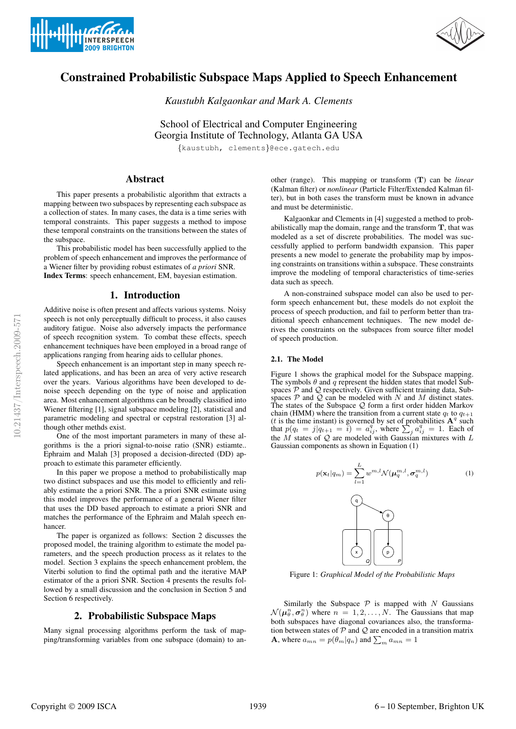



# Constrained Probabilistic Subspace Maps Applied to Speech Enhancement

*Kaustubh Kalgaonkar and Mark A. Clements*

School of Electrical and Computer Engineering Georgia Institute of Technology, Atlanta GA USA

{kaustubh, clements}@ece.gatech.edu

## Abstract

This paper presents a probabilistic algorithm that extracts a mapping between two subspaces by representing each subspace as a collection of states. In many cases, the data is a time series with temporal constraints. This paper suggests a method to impose these temporal constraints on the transitions between the states of the subspace.

This probabilistic model has been successfully applied to the problem of speech enhancement and improves the performance of a Wiener filter by providing robust estimates of *a priori* SNR. Index Terms: speech enhancement, EM, bayesian estimation.

## 1. Introduction

Additive noise is often present and affects various systems. Noisy speech is not only perceptually difficult to process, it also causes auditory fatigue. Noise also adversely impacts the performance of speech recognition system. To combat these effects, speech enhancement techniques have been employed in a broad range of applications ranging from hearing aids to cellular phones.

Speech enhancement is an important step in many speech related applications, and has been an area of very active research over the years. Various algorithms have been developed to denoise speech depending on the type of noise and application area. Most enhancement algorithms can be broadly classified into Wiener filtering [1], signal subspace modeling [2], statistical and parametric modeling and spectral or cepstral restoration [3] although other methds exist.

One of the most important parameters in many of these algorithms is the a priori signal-to-noise ratio (SNR) estiamte.. Ephraim and Malah [3] proposed a decision-directed (DD) approach to estimate this parameter efficiently.

In this paper we propose a method to probabilistically map two distinct subspaces and use this model to efficiently and reliably estimate the a priori SNR. The a priori SNR estimate using this model improves the performance of a general Wiener filter that uses the DD based approach to estimate a priori SNR and matches the performance of the Ephraim and Malah speech enhancer.

The paper is organized as follows: Section 2 discusses the proposed model, the training algorithm to estimate the model parameters, and the speech production process as it relates to the model. Section 3 explains the speech enhancement problem, the Viterbi solution to find the optimal path and the iterative MAP estimator of the a priori SNR. Section 4 presents the results followed by a small discussion and the conclusion in Section 5 and Section 6 respectively.

### 2. Probabilistic Subspace Maps

Many signal processing algorithms perform the task of mapping/transforming variables from one subspace (domain) to another (range). This mapping or transform (T) can be *linear* (Kalman filter) or *nonlinear* (Particle Filter/Extended Kalman filter), but in both cases the transform must be known in advance and must be deterministic.

Kalgaonkar and Clements in [4] suggested a method to probabilistically map the domain, range and the transform  $T$ , that was modeled as a set of discrete probabilities. The model was successfully applied to perform bandwidth expansion. This paper presents a new model to generate the probability map by imposing constraints on transitions within a subspace. These constraints improve the modeling of temporal characteristics of time-series data such as speech.

A non-constrained subspace model can also be used to perform speech enhancement but, these models do not exploit the process of speech production, and fail to perform better than traditional speech enhancement techniques. The new model derives the constraints on the subspaces from source filter model of speech production.

#### 2.1. The Model

Figure 1 shows the graphical model for the Subspace mapping. The symbols  $\theta$  and  $\tilde{q}$  represent the hidden states that model Subspaces  $P$  and  $Q$  respectively. Given sufficient training data, Subspaces  $P$  and  $\overline{Q}$  can be modeled with N and M distinct states. The states of the Subspace  $Q$  form a first order hidden Markov chain (HMM) where the transition from a current state  $q_t$  to  $q_{t+1}$ (*t* is the time instant) is governed by set of probabilities  $A<sup>q</sup>$  such that  $p(q_t = j|q_{t+1} = i) = a_{ij}^q$ , where  $\sum_j a_{ij}^q = 1$ . Each of the  $M$  states of  $Q$  are modeled with Gaussian mixtures with  $L$ Gaussian components as shown in Equation (1)



Figure 1: *Graphical Model of the Probabilistic Maps*

Similarly the Subspace  $P$  is mapped with N Gaussians  $\mathcal{N}(\mu_\theta^n, \sigma_\theta^n)$  where  $n = 1, 2, ..., N$ . The Gaussians that map both subspaces have diagonal covariances also, the transformation between states of  $P$  and  $Q$  are encoded in a transition matrix **A**, where  $a_{mn} = p(\theta_m | q_n)$  and  $\sum_m a_{mn} = 1$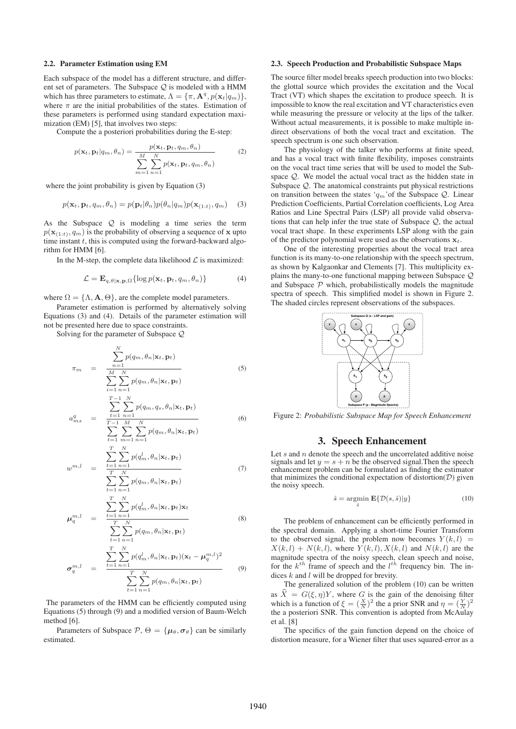#### 2.2. Parameter Estimation using EM

Each subspace of the model has a different structure, and different set of parameters. The Subspace  $Q$  is modeled with a HMM which has three parameters to estimate,  $\Lambda = {\pi, \mathbf{A}^q, p(\mathbf{x}_t|q_m)}$ , where  $\pi$  are the initial probabilities of the states. Estimation of these parameters is performed using standard expectation maximization (EM) [5], that involves two steps:

Compute the a posteriori probabilities during the E-step:

$$
p(\mathbf{x}_t, \mathbf{p}_t | q_m, \theta_n) = \frac{p(\mathbf{x}_t, \mathbf{p}_t, q_m, \theta_n)}{\sum_{m=1}^M \sum_{n=1}^N p(\mathbf{x}_t, \mathbf{p}_t, q_m, \theta_n)}
$$
(2)

where the joint probability is given by Equation (3)

$$
p(\mathbf{x}_t, \mathbf{p}_t, q_m, \theta_n) = p(\mathbf{p}_t | \theta_n) p(\theta_n | q_m) p(\mathbf{x}_{(1:t)}, q_m)
$$
 (3)

As the Subspace  $Q$  is modeling a time series the term  $p(\mathbf{x}_{(1:t)}, q_m)$  is the probability of observing a sequence of x upto time instant  $t$ , this is computed using the forward-backward algorithm for HMM [6].

In the M-step, the complete data likelihood  $\mathcal L$  is maximized:

$$
\mathcal{L} = \mathbf{E}_{q,\theta|\mathbf{x},\mathbf{p},\Omega} \{ \log p(\mathbf{x}_t, \mathbf{p}_t, q_m, \theta_n) \}
$$
(4)

where  $\Omega = {\Lambda, \mathbf{A}, \Theta}$ , are the complete model parameters.

Parameter estimation is performed by alternatively solving Equations (3) and (4). Details of the parameter estimation will not be presented here due to space constraints.

Solving for the parameter of Subspace Q

$$
\pi_m = \frac{\sum_{n=1}^{N} p(q_m, \theta_n | \mathbf{x}_t, \mathbf{p}_t)}{\sum_{n=1}^{M} \sum_{n=1}^{N} p(q_m, \theta_n | \mathbf{x}_t, \mathbf{p}_t)}
$$
(5)

$$
a_{ms}^q = \frac{\sum_{t=1}^{T-1} \sum_{n=1}^N p(q_m, q_s, \theta_n | \mathbf{x}_t, \mathbf{p}_t)}{\sum_{t=1}^{T-1} \sum_{n=1}^M \sum_{n=1}^N p(q_m, \theta_n | \mathbf{x}_t, \mathbf{p}_t)}
$$
(6)

$$
\sum_{t=1}^{n} \sum_{m=1}^{n} \sum_{n=1}^{n} p(q_m, \theta_n | \mathbf{x}_t, \mathbf{p}_t)
$$

$$
\sum_{t=1}^{n} \sum_{n} p(q_t^t | \theta_n | \mathbf{x}_t, \mathbf{p}_t)
$$

$$
w^{m,l} = \frac{\sum_{t=1}^{N} p(q_m^l, \theta_n | \mathbf{x}_t, \mathbf{p}_t)}{\sum_{t=1}^{N} \sum_{t=1}^{N} p(q_m, \theta_n | \mathbf{x}_t, \mathbf{p}_t)} \tag{7}
$$

$$
\mu_q^{m,l} = \frac{\sum_{t=1}^T \sum_{n=1}^N p(q_m^l, \theta_n | \mathbf{x}_t, \mathbf{p}_t) \mathbf{x}_t}{\sum_{t=1}^T \sum_{n=1}^N p(q_m, \theta_n | \mathbf{x}_t, \mathbf{p}_t)}
$$
(8)

$$
\sigma_q^{m,l} = \frac{\sum_{t=1}^T \sum_{n=1}^N p(q_m^l, \theta_n | \mathbf{x}_t, \mathbf{p}_t) (\mathbf{x}_t - \boldsymbol{\mu}_q^{m,l})^2}{\sum_{t=1}^T \sum_{n=1}^N p(q_m, \theta_n | \mathbf{x}_t, \mathbf{p}_t)}
$$
(9)

The parameters of the HMM can be efficiently computed using Equations (5) through (9) and a modified version of Baum-Welch method [6].

Parameters of Subspace  $P$ ,  $\Theta = {\mu_{\theta}, \sigma_{\theta}}$  can be similarly estimated.

#### 2.3. Speech Production and Probabilistic Subspace Maps

The source filter model breaks speech production into two blocks: the glottal source which provides the excitation and the Vocal Tract (VT) which shapes the excitation to produce speech. It is impossible to know the real excitation and VT characteristics even while measuring the pressure or velocity at the lips of the talker. Without actual measurements, it is possible to make multiple indirect observations of both the vocal tract and excitation. The speech spectrum is one such observation.

The physiology of the talker who performs at finite speed, and has a vocal tract with finite flexibility, imposes constraints on the vocal tract time series that will be used to model the Subspace Q. We model the actual vocal tract as the hidden state in Subspace Q. The anatomical constraints put physical restrictions on transition between the states ' $q_m$ ' of the Subspace Q. Linear Prediction Coefficients, Partial Correlation coefficients, Log Area Ratios and Line Spectral Pairs (LSP) all provide valid observations that can help infer the true state of Subspace Q, the actual vocal tract shape. In these experiments LSP along with the gain of the predictor polynomial were used as the observations  $x_t$ .

One of the interesting properties about the vocal tract area function is its many-to-one relationship with the speech spectrum, as shown by Kalgaonkar and Clements [7]. This multiplicity explains the many-to-one functional mapping between Subspace Q and Subspace  $P$  which, probabilistically models the magnitude spectra of speech. This simplified model is shown in Figure 2. The shaded circles represent observations of the subspaces.



Figure 2: *Probabilistic Subspace Map for Speech Enhancement*

#### 3. Speech Enhancement

Let  $s$  and  $n$  denote the speech and the uncorrelated additive noise signals and let  $y = s + n$  be the observed signal. Then the speech enhancement problem can be formulated as finding the estimator that minimizes the conditional expectation of distortion $(D)$  given the noisy speech.

$$
\hat{s} = \underset{\hat{s}}{\operatorname{argmin}} \mathbf{E} \{ \mathcal{D}(s, \hat{s}) | y \}
$$
(10)

The problem of enhancement can be efficiently performed in the spectral domain. Applying a short-time Fourier Transform to the observed signal, the problem now becomes  $Y(k, l)$  =  $X(k,l) + N(k,l)$ , where  $Y(k,l)$ ,  $X(k,l)$  and  $N(k,l)$  are the magnitude spectra of the noisy speech, clean speech and noise, for the  $k^{th}$  frame of speech and the  $l^{th}$  frequency bin. The indices  $k$  and  $l$  will be dropped for brevity.

The generalized solution of the problem (10) can be written as  $\ddot{X} = G(\xi, \eta)Y$ , where G is the gain of the denoising filter which is a function of  $\xi = (\frac{X}{N})^2$  the a prior SNR and  $\eta = (\frac{Y}{N})^2$ the a posteriori SNR. This convention is adopted from McAulay et al. [8]

The specifics of the gain function depend on the choice of distortion measure, for a Wiener filter that uses squared-error as a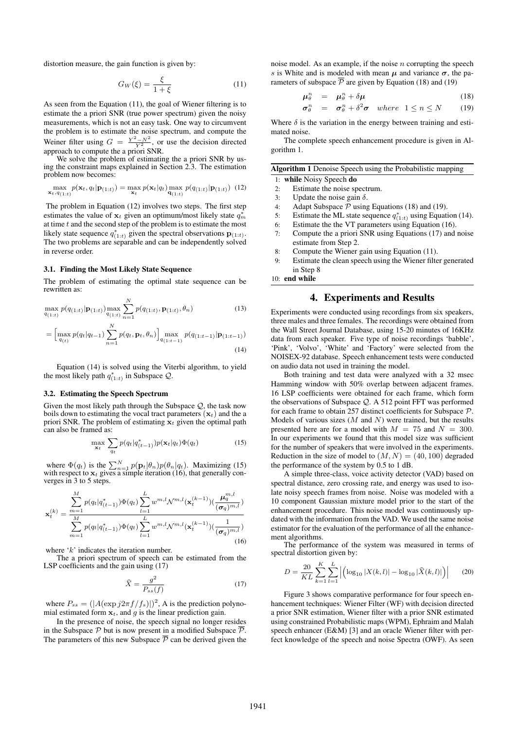distortion measure, the gain function is given by:

$$
G_W(\xi) = \frac{\xi}{1 + \xi} \tag{11}
$$

As seen from the Equation (11), the goal of Wiener filtering is to estimate the a priori SNR (true power spectrum) given the noisy measurements, which is not an easy task. One way to circumvent the problem is to estimate the noise spectrum, and compute the Weiner filter using  $G = \frac{Y^2 - N^2}{Y^2}$ , or use the decision directed approach to compute the a priori SNR.

We solve the problem of estimating the a priori SNR by using the constraint maps explained in Section 2.3. The estimation problem now becomes:

$$
\max_{\mathbf{x}_t, q_{(1:t)}} p(\mathbf{x}_t, q_t | \mathbf{p}_{(1:t)}) = \max_{\mathbf{x}_t} p(\mathbf{x}_t | q_t) \max_{\mathbf{q}_{(1:t)}} p(q_{(1:t)} | \mathbf{p}_{(1:t)}) \tag{12}
$$

The problem in Equation (12) involves two steps. The first step estimates the value of  $x_t$  given an optimum/most likely state  $q_m^*$ at time  $t$  and the second step of the problem is to estimate the most likely state sequence  $q_{(1:t)}^*$  given the spectral observations  $\mathbf{p}_{(1:t)}$ . The two problems are separable and can be independently solved in reverse order.

#### 3.1. Finding the Most Likely State Sequence

The problem of estimating the optimal state sequence can be rewritten as:

$$
\max_{q_{(1:t)}} p(q_{(1:t)}|\mathbf{p}_{(1:t)}) \max_{q_{(1:t)}} \sum_{n=1}^{N} p(q_{(1:t)}, \mathbf{p}_{(1:t)}, \theta_n)
$$
\n(13)

$$
= \left[\max_{q_{(t)}} p(q_t|q_{t-1}) \sum_{n=1}^{N} p(q_t, \mathbf{p}_t, \theta_n)\right] \max_{q_{(1:t-1)}} p(q_{(1:t-1)}|\mathbf{p}_{(1:t-1)})
$$
\n(14)

Equation (14) is solved using the Viterbi algorithm, to yield the most likely path  $q_{(1:t)}^*$  in Subspace  $\mathcal{Q}$ .

#### 3.2. Estimating the Speech Spectrum

Given the most likely path through the Subspace  $Q$ , the task now boils down to estimating the vocal tract parameters  $(\mathbf{x}_t)$  and the a priori SNR. The problem of estimating  $x_t$  given the optimal path can also be framed as:

$$
\max_{\mathbf{x}_t} \sum_{q_t} p(q_t|q^*_{(t-1)}) p(\mathbf{x}_t|q_t) \Phi(q_t)
$$
\n(15)

where  $\Phi(q_t)$  is the  $\sum_{n=1}^{N} p(\mathbf{p}_t|\theta_n) p(\theta_n|q_t)$ . Maximizing (15) with respect to  $\mathbf{x}_t$  gives a simple iteration (16), that generally converges in 3 to 5 steps.

$$
\mathbf{x}_{t}^{(k)} = \frac{\sum_{m=1}^{M} p(q_{t}|q_{(t-1)}^{*}) \Phi(q_{t}) \sum_{l=1}^{L} w^{m,l} \mathcal{N}^{m,l}(\mathbf{x}_{t}^{(k-1)}) (\frac{\mu_{q}^{m,l}}{(\sigma_{q})^{m,l}})}{\sum_{m=1}^{M} p(q_{t}|q_{(t-1)}^{*}) \Phi(q_{t}) \sum_{l=1}^{L} w^{m,l} \mathcal{N}^{m,l}(\mathbf{x}_{t}^{(k-1)}) (\frac{1}{(\sigma_{q})^{m,l}})}
$$
(16)

where 'k' indicates the iteration number.

The a priori spectrum of speech can be estimated from the LSP coefficients and the gain using  $(17)$ 

$$
\widehat{X} = \frac{g^2}{P_{ss}(f)}\tag{17}
$$

where  $P_{ss} = (|A(\exp j2\pi f/f_s)|)^2$ , A is the prediction polynomial estimated form  $x_t$ , and g is the linear prediction gain.

In the presence of noise, the speech signal no longer resides in the Subspace  $\mathcal P$  but is now present in a modified Subspace  $\overline{\mathcal P}$ . The parameters of this new Subspace  $\overline{P}$  can be derived given the noise model. As an example, if the noise  $n$  corrupting the speech s is White and is modeled with mean  $\mu$  and variance  $\sigma$ , the parameters of subspace  $\overline{P}$  are given by Equation (18) and (19)

$$
\mu_{\theta}^{n} = \mu_{\theta}^{n} + \delta \mu \tag{18}
$$

$$
\sigma_{\theta}^{n} = \sigma_{\theta}^{n} + \delta^{2} \sigma \quad where \quad 1 \leq n \leq N \quad (19)
$$

Where  $\delta$  is the variation in the energy between training and estimated noise.

The complete speech enhancement procedure is given in Algorithm 1.

| Algorithm 1 Denoise Speech using the Probabilistic mapping |  |  |  |  |
|------------------------------------------------------------|--|--|--|--|
|------------------------------------------------------------|--|--|--|--|

1: while Noisy Speech do

- 2: Estimate the noise spectrum.
- 3: Update the noise gain  $\delta$ .
- 4: Adapt Subspace  $P$  using Equations (18) and (19).<br>5: Estimate the ML state sequence  $q_{(1,4)}^*$  using Equation
- 5: Estimate the ML state sequence  $q_{(1:t)}^*$  using Equation (14).
- 6: Estimate the the VT parameters using Equation (16).
- 7: Compute the a priori SNR using Equations (17) and noise estimate from Step 2.
- 8: Compute the Wiener gain using Equation (11).
- 9: Estimate the clean speech using the Wiener filter generated in Step 8

10: end while

## 4. Experiments and Results

Experiments were conducted using recordings from six speakers, three males and three females. The recordings were obtained from the Wall Street Journal Database, using 15-20 minutes of 16KHz data from each speaker. Five type of noise recordings 'babble', 'Pink', 'Volvo', 'White' and 'Factory' were selected from the NOISEX-92 database. Speech enhancement tests were conducted on audio data not used in training the model.

Both training and test data were analyzed with a 32 msec Hamming window with 50% overlap between adjacent frames. 16 LSP coefficients were obtained for each frame, which form the observations of Subspace Q. A 512 point FFT was performed for each frame to obtain 257 distinct coefficients for Subspace  $P$ . Models of various sizes  $(M \text{ and } N)$  were trained, but the results presented here are for a model with  $M = 75$  and  $N = 300$ . In our experiments we found that this model size was sufficient for the number of speakers that were involved in the experiments. Reduction in the size of model to  $(M, N) = (40, 100)$  degraded the performance of the system by 0.5 to 1 dB.

A simple three-class, voice activity detector (VAD) based on spectral distance, zero crossing rate, and energy was used to isolate noisy speech frames from noise. Noise was modeled with a 10 component Gaussian mixture model prior to the start of the enhancement procedure. This noise model was continuously updated with the information from the VAD. We used the same noise estimator for the evaluation of the performance of all the enhancement algorithms.

The performance of the system was measured in terms of spectral distortion given by:

$$
D = \frac{20}{KL} \sum_{k=1}^{K} \sum_{l=1}^{L} \left| \left( \log_{10} |X(k, l)| - \log_{10} |\hat{X}(k, l)| \right) \right| \tag{20}
$$

Figure 3 shows comparative performance for four speech enhancement techniques: Wiener Filter (WF) with decision directed a prior SNR estimation, Wiener filter with a prior SNR estimated using constrained Probabilistic maps (WPM), Ephraim and Malah speech enhancer (E&M) [3] and an oracle Wiener filter with perfect knowledge of the speech and noise Spectra (OWF). As seen